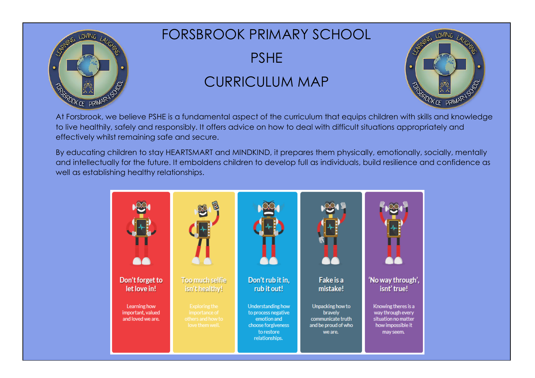

## FORSBROOK PRIMARY SCHOOL

PSHE

## CURRICULUM MAP



At Forsbrook, we believe PSHE is a fundamental aspect of the curriculum that equips children with skills and knowledge to live healthily, safely and responsibly. It offers advice on how to deal with difficult situations appropriately and effectively whilst remaining safe and secure.

By educating children to stay HEARTSMART and MINDKIND, it prepares them physically, emotionally, socially, mentally and intellectually for the future. It emboldens children to develop full as individuals, build resilience and confidence as well as establishing healthy relationships.

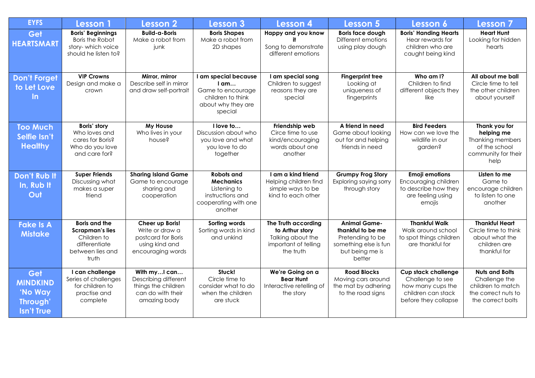| <b>EYFS</b>                                                              | <b>Lesson</b> 1                                                                                             | <b>Lesson 2</b>                                                                                  | <b>Lesson 3</b>                                                                                           | <b>Lesson 4</b>                                                                                  | Lesson 5                                                                                                           | Lesson 6                                                                                                          | Lesson 7                                                                                                |
|--------------------------------------------------------------------------|-------------------------------------------------------------------------------------------------------------|--------------------------------------------------------------------------------------------------|-----------------------------------------------------------------------------------------------------------|--------------------------------------------------------------------------------------------------|--------------------------------------------------------------------------------------------------------------------|-------------------------------------------------------------------------------------------------------------------|---------------------------------------------------------------------------------------------------------|
| Get<br><b>HEARTSMART</b>                                                 | <b>Boris' Beginnings</b><br><b>Boris the Robot</b><br>story-which voice<br>should he listen to?             | <b>Build-a-Boris</b><br>Make a robot from<br>junk                                                | <b>Boris Shapes</b><br>Make a robot from<br>2D shapes                                                     | Happy and you know<br>Song to demonstrate<br>different emotions                                  | <b>Boris face dough</b><br>Different emotions<br>using play dough                                                  | <b>Boris' Handing Hearts</b><br>Hear rewards for<br>children who are<br>caught being kind                         | <b>Heart Hunt</b><br>Looking for hidden<br>hearts                                                       |
| <b>Don't Forget</b><br>to Let Love<br>$\ln$                              | <b>VIP Crowns</b><br>Design and make a<br>crown                                                             | Mirror, mirror<br>Describe self in mirror<br>and draw self-portrait                              | I am special because<br>$I$ am<br>Game to encourage<br>children to think<br>about why they are<br>special | I am special song<br>Children to suggest<br>reasons they are<br>special                          | <b>Fingerprint tree</b><br>Looking at<br>uniqueness of<br>fingerprints                                             | Who am I?<br>Children to find<br>different objects they<br>like                                                   | All about me ball<br>Circle time to tell<br>the other children<br>about yourself                        |
| <b>Too Much</b><br>Selfie Isn't<br><b>Healthy</b>                        | Boris' story<br>Who loves and<br>cares for Boris?<br>Who do you love<br>and care for?                       | My House<br>Who lives in your<br>house?                                                          | I love to<br>Discussion about who<br>you love and what<br>you love to do<br>together                      | Friendship web<br>Circe time to use<br>kind/encouraging<br>words about one<br>another            | A friend in need<br>Game about looking<br>out for and helping<br>friends in need                                   | <b>Bird Feeders</b><br>How can we love the<br>wildlife in our<br>garden?                                          | Thank you for<br>helping me<br><b>Thanking members</b><br>of the school<br>community for their<br>help  |
| Don't Rub It<br>In, Rub It<br>Out                                        | <b>Super Friends</b><br>Discussing what<br>makes a super<br>friend                                          | <b>Sharing Island Game</b><br>Game to encourage<br>sharing and<br>cooperation                    | Robots and<br><b>Mechanics</b><br>Listening to<br>instructions and<br>cooperating with one<br>another     | I am a kind friend<br>Helping children find<br>simple ways to be<br>kind to each other           | <b>Grumpy Frog Story</b><br>Exploring saying sorry<br>through story                                                | <b>Emoji emotions</b><br>Encouraging children<br>to describe how they<br>are feeling using<br>emojis              | Listen to me<br>Game to<br>encourage children<br>to listen to one<br>another                            |
| <b>Fake Is A</b><br><b>Mistake</b>                                       | <b>Boris and the</b><br><b>Scrapman's lies</b><br>Children to<br>differentiate<br>between lies and<br>truth | Cheer up Boris!<br>Write or draw a<br>postcard for Boris<br>using kind and<br>encouraging words  | Sorting words<br>Sorting words in kind<br>and unkind                                                      | The Truth according<br>to Arthur story<br>Talking about the<br>important of telling<br>the truth | <b>Animal Game-</b><br>thankful to be me<br>Pretending to be<br>something else is fun<br>but being me is<br>better | <b>Thankful Walk</b><br>Walk around school<br>to spot things children<br>are thankful for                         | <b>Thankful Heart</b><br>Circle time to think<br>about what the<br>children are<br>thankful for         |
| Get<br><b>MINDKIND</b><br>'No Way<br><b>Through</b><br><b>Isn't True</b> | I can challenge<br>Series of challenges<br>for children to<br>practise and<br>complete                      | With myI can<br>Describing different<br>things the children<br>can do with their<br>amazing body | Stuck!<br>Circle time to<br>consider what to do<br>when the children<br>are stuck                         | We're Going on a<br><b>Bear Hunt</b><br>Interactive retelling of<br>the story                    | <b>Road Blocks</b><br>Moving cars around<br>the mat by adhering<br>to the road signs                               | <b>Cup stack challenge</b><br>Challenge to see<br>how many cups the<br>children can stack<br>before they collapse | <b>Nuts and Bolts</b><br>Challenge the<br>children to match<br>the correct nuts to<br>the correct bolts |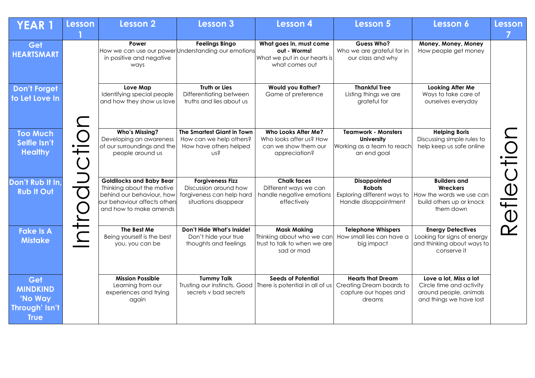| <b>YEAR 1</b>                                                      | <b>Lesson</b> | <b>Lesson 2</b>                                                                                                                                     | <b>Lesson 3</b>                                                                                       | <b>Lesson 4</b>                                                                               | <b>Lesson 5</b>                                                                              | Lesson 6                                                                                                | Lesson     |
|--------------------------------------------------------------------|---------------|-----------------------------------------------------------------------------------------------------------------------------------------------------|-------------------------------------------------------------------------------------------------------|-----------------------------------------------------------------------------------------------|----------------------------------------------------------------------------------------------|---------------------------------------------------------------------------------------------------------|------------|
| Get<br><b>HEARTSMART</b>                                           |               | Power<br>in positive and negative<br>ways                                                                                                           | <b>Feelings Bingo</b><br>How we can use our power Understanding our emotions                          | What goes in, must come<br>out - Worms!<br>What we put in our hearts is<br>what comes out     | Guess Who?<br>Who we are grateful for in<br>our class and why                                | Money, Money, Money<br>How people get money                                                             |            |
| <b>Don't Forget</b><br>to Let Love In                              |               | Love Map<br>Identifying special people<br>and how they show us love                                                                                 | <b>Truth or Lies</b><br>Differentiating between<br>truths and lies about us                           | <b>Would you Rather?</b><br>Game of preference                                                | <b>Thankful Tree</b><br>Listing things we are<br>grateful for                                | Looking After Me<br>Ways to take care of<br>ourselves everyday                                          |            |
| <b>Too Much</b><br>Selfie Isn't<br><b>Healthy</b>                  |               | <b>Who's Missing?</b><br>Developing an awareness<br>of our surroundings and the<br>people around us                                                 | The Smartest Giant in Town<br>How can we help others?<br>How have others helped<br>US?                | Who Looks After Me?<br>Who looks after us? How<br>can we show them our<br>appreciation?       | <b>Teamwork - Monsters</b><br><b>University</b><br>Working as a team to reach<br>an end goal | <b>Helping Boris</b><br>Discussing simple rules to<br>help keep us safe online                          |            |
| Don't Rub It In,<br><b>Rub It Out</b>                              |               | <b>Goldilocks and Baby Bear</b><br>Thinking about the motive<br>behind our behaviour, how<br>our behaviour affects others<br>and how to make amends | <b>Forgiveness Fizz</b><br>Discussion around how<br>forgiveness can help hard<br>situations disappear | <b>Chalk faces</b><br>Different ways we can<br>handle negative emotions<br>effectively        | <b>Disappointed</b><br><b>Robots</b><br>Exploring different ways to<br>Handle disappointment | <b>Builders and</b><br>Wreckers<br>How the words we use can<br>build others up or knock<br>them down    | Reflection |
| <b>Fake Is A</b><br><b>Mistake</b>                                 |               | The Best Me<br>Being yourself is the best<br>you, you can be                                                                                        | Don't Hide What's Inside!<br>Don't hide your true<br>thoughts and feelings                            | <b>Mask Making</b><br>Thinking about who we can<br>trust to talk to when we are<br>sad or mad | <b>Telephone Whispers</b><br>How small lies can have a<br>big impact                         | <b>Energy Detectives</b><br>Looking for signs of energy<br>and thinking about ways to<br>conserve it    |            |
| Get<br><b>MINDKIND</b><br>'No Way<br>Through' Isn't<br><b>True</b> |               | <b>Mission Possible</b><br>Learning from our<br>experiences and trying<br>again                                                                     | <b>Tummy Talk</b><br>Trusting our instincts. Good<br>secrets v bad secrets                            | <b>Seeds of Potential</b><br>There is potential in all of us                                  | <b>Hearts that Dream</b><br>Creating Dream boards to<br>capture our hopes and<br>dreams      | Love a lot, Miss a lot<br>Circle time and activity<br>around people, animals<br>and things we have lost |            |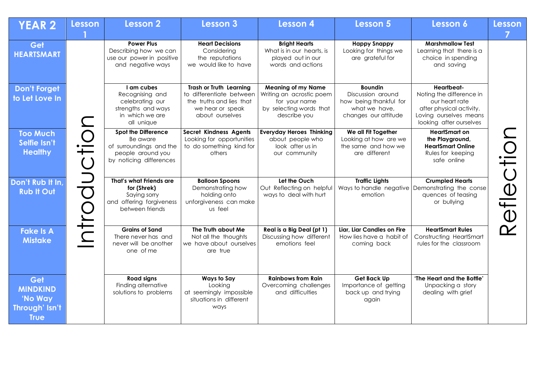| <b>YEAR 2</b>                                                      | <b>Lesson</b>     | Lesson 2                                                                                              | Lesson 3                                                                                        | Lesson 4                                                                             | Lesson 5                                                                             | Lesson 6                                                                                                                    | <b>Lesson</b> |
|--------------------------------------------------------------------|-------------------|-------------------------------------------------------------------------------------------------------|-------------------------------------------------------------------------------------------------|--------------------------------------------------------------------------------------|--------------------------------------------------------------------------------------|-----------------------------------------------------------------------------------------------------------------------------|---------------|
| Get                                                                |                   | <b>Power Plus</b>                                                                                     | <b>Heart Decisions</b>                                                                          | <b>Bright Hearts</b>                                                                 | <b>Happy Snappy</b>                                                                  | <b>Marshmallow Test</b>                                                                                                     |               |
| <b>HEARTSMART</b>                                                  |                   | Describing how we can<br>use our power in positive<br>and negative ways                               | Considering<br>the reputations<br>we would like to have                                         | What is in our hearts, is<br>played out in our<br>words and actions                  | Looking for things we<br>are grateful for                                            | Learning that there is a<br>choice in spending<br>and saving                                                                |               |
| <b>Don't Forget</b>                                                |                   | I am cubes                                                                                            | <b>Trash or Truth Learning</b>                                                                  | <b>Meaning of my Name</b>                                                            | <b>Boundin</b>                                                                       | Heartbeat-                                                                                                                  |               |
| to Let Love In                                                     |                   | Recognising and<br>celebrating our<br>strengths and ways<br>in which we are<br>all unique             | to differentiate between<br>the truths and lies that<br>we hear or speak<br>about ourselves     | Writing an acrostic poem<br>for your name<br>by selecting words that<br>describe you | Discussion around<br>how being thankful for<br>what we have,<br>changes our attitude | Noting the difference in<br>our heart rate<br>after physical activity.<br>Loving ourselves means<br>looking after ourselves |               |
| <b>Too Much</b>                                                    |                   | Spot the Difference                                                                                   | Secret Kindness Agents                                                                          | <b>Everyday Heroes Thinking</b>                                                      | We all Fit Together                                                                  | <b>HeartSmart on</b>                                                                                                        |               |
| Selfie Isn't<br><b>Healthy</b>                                     | il                | Be aware<br>of surroundings and the<br>people around you<br>by noticing differences                   | Looking for opportunities<br>to do something kind for<br>others                                 | about people who<br>look after us in<br>our community                                | Looking at how are we<br>the same and how we<br>are different                        | the Playground,<br><b>HeartSmart Online</b><br>Rules for keeping<br>safe online                                             |               |
| Don't Rub It In.<br><b>Rub It Out</b>                              | $\Box$<br>$\bf C$ | That's what Friends are<br>for (Shrek)<br>Saying sorry<br>and offering forgiveness<br>between friends | <b>Balloon Spoons</b><br>Demonstrating how<br>holding onto<br>unforgiveness can make<br>us feel | Let the Ouch<br>Out Reflecting on helpful<br>ways to deal with hurt                  | <b>Traffic Lights</b><br>emotion                                                     | <b>Crumpled Hearts</b><br>Ways to handle negative Demonstrating the conse<br>quences of teasing<br>or bullying              | Reflection    |
| <b>Fake Is A</b><br><b>Mistake</b>                                 |                   | <b>Grains of Sand</b><br>There never has and<br>never will be another<br>one of me                    | The Truth about Me<br>Not all the thoughts<br>we have about ourselves<br>are true               | Real is a Big Deal (pt 1)<br>Discussing how different<br>emotions feel               | Liar, Liar Candles on Fire<br>How lies have a habit of<br>coming back                | <b>HeartSmart Rules</b><br><b>Constructing HeartSmart</b><br>rules for the classroom                                        |               |
| Get<br><b>MINDKIND</b><br>'No Way<br>Through' Isn't<br><b>True</b> |                   | <b>Road signs</b><br>Finding alternative<br>solutions to problems                                     | <b>Ways to Say</b><br>Looking<br>at seemingly impossible<br>situations in different<br>ways     | <b>Rainbows from Rain</b><br>Overcoming challenges<br>and difficulties               | Get Back Up<br>Importance of getting<br>back up and trying<br>again                  | 'The Heart and the Bottle'<br>Unpacking a story<br>dealing with grief                                                       |               |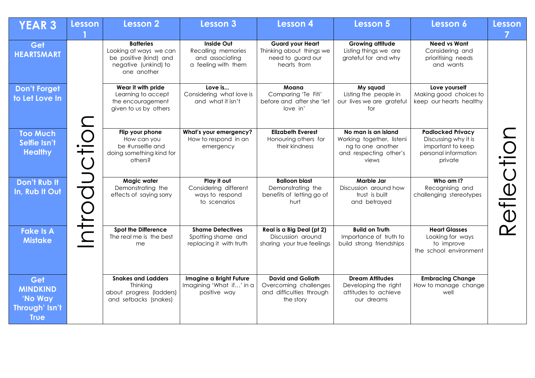| <b>YEAR 3</b>                                                      | <b>Lesson</b>                     | Lesson 2                                                                                                    | <b>Lesson 3</b>                                                            | <b>Lesson 4</b>                                                                            | Lesson 5                                                                                                 | Lesson 6                                                                                                 | <b>Lesson</b> |
|--------------------------------------------------------------------|-----------------------------------|-------------------------------------------------------------------------------------------------------------|----------------------------------------------------------------------------|--------------------------------------------------------------------------------------------|----------------------------------------------------------------------------------------------------------|----------------------------------------------------------------------------------------------------------|---------------|
| Get<br><b>HEARTSMART</b>                                           |                                   | <b>Batteries</b><br>Looking at ways we can<br>be positive (kind) and<br>negative (unkind) to<br>one another | Inside Out<br>Recalling memories<br>and associating<br>a feeling with them | <b>Guard your Heart</b><br>Thinking about things we<br>need to guard our<br>hearts from    | <b>Growing attitude</b><br>Listing things we are<br>grateful for and why                                 | <b>Need vs Want</b><br>Considering and<br>prioritising needs<br>and wants                                |               |
| <b>Don't Forget</b><br>to Let Love In                              |                                   | Wear it with pride<br>Learning to accept<br>the encouragement<br>given to us by others                      | Love is<br>Considering what love is<br>and what it isn't                   | Moana<br>Comparing 'Te Fiti'<br>before and after she 'let<br>love in'                      | My squad<br>Listing the people in<br>our lives we are grateful<br>for                                    | Love yourself<br>Making good choices to<br>keep our hearts healthy                                       |               |
| <b>Too Much</b><br>Selfie Isn't<br><b>Healthy</b>                  | Olto                              | Flip your phone<br>How can you<br>be #unselfie and<br>doing something kind for<br>others?                   | What's your emergency?<br>How to respond in an<br>emergency                | <b>Elizabeth Everest</b><br>Honouring others for<br>their kindness                         | No man is an island<br>Working together, listeni<br>ng to one another<br>and respecting other's<br>views | <b>Padlocked Privacy</b><br>Discussing why it is<br>important to keep<br>personal information<br>private |               |
| Don't Rub It<br>In, Rub It Out                                     | $\Box$<br>$\overline{\mathbf{C}}$ | Magic water<br>Demonstrating the<br>effects of saying sorry                                                 | Play it out<br>Considering different<br>ways to respond<br>to scenarios    | <b>Balloon blast</b><br>Demonstrating the<br>benefits of letting go of<br>hurt             | Marble Jar<br>Discussion around how<br>trust is built<br>and betrayed                                    | Who am I?<br>Recognising and<br>challenging stereotypes                                                  | Reflection    |
| <b>Fake Is A</b><br><b>Mistake</b>                                 | NTK                               | <b>Spot the Difference</b><br>The real me is the best<br>me                                                 | <b>Shame Detectives</b><br>Spotting shame and<br>replacing it with truth   | Real is a Big Deal (pt 2)<br>Discussion around<br>sharing your true feelings               | <b>Build on Truth</b><br>Importance of truth to<br>build strong friendships                              | <b>Heart Glasses</b><br>Looking for ways<br>to improve<br>the school environment                         |               |
| Get<br><b>MINDKIND</b><br>'No Way<br>Through' Isn't<br><b>True</b> |                                   | <b>Snakes and Ladders</b><br>Thinking<br>about progress (ladders)<br>and setbacks (snakes)                  | Imagine a Bright Future<br>Imagining 'What if' in a<br>positive way        | <b>David and Goliath</b><br>Overcoming challenges<br>and difficulties through<br>the story | <b>Dream Attitudes</b><br>Developing the right<br>attitudes to achieve<br>our dreams                     | <b>Embracing Change</b><br>How to manage change<br>well                                                  |               |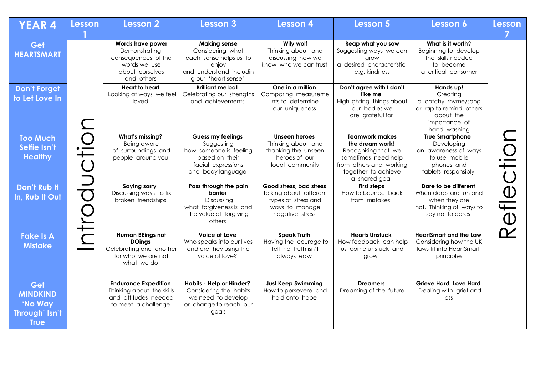| <b>YEAR 4</b>                                                      | <b>Lesson</b> | Lesson 2                                                                                                  | <b>Lesson 3</b>                                                                                                              | <b>Lesson 4</b>                                                                                                | <b>Lesson 5</b>                                                                                                                                           | Lesson 6                                                                                                              | <b>Lesson</b> |
|--------------------------------------------------------------------|---------------|-----------------------------------------------------------------------------------------------------------|------------------------------------------------------------------------------------------------------------------------------|----------------------------------------------------------------------------------------------------------------|-----------------------------------------------------------------------------------------------------------------------------------------------------------|-----------------------------------------------------------------------------------------------------------------------|---------------|
| Get<br><b>HEARTSMART</b>                                           |               | Words have power<br>Demonstrating<br>consequences of the<br>words we use<br>about ourselves<br>and others | <b>Making sense</b><br>Considering what<br>each sense helps us to<br>enjoy<br>and understand includin<br>g our 'heart sense' | Wily wolf<br>Thinking about and<br>discussing how we<br>know who we can trust                                  | Reap what you sow<br>Suggesting ways we can<br>grow<br>a desired characteristic<br>e.g. kindness                                                          | What is it worth?<br>Beginning to develop<br>the skills needed<br>to become<br>a critical consumer                    |               |
| <b>Don't Forget</b><br>to Let Love In                              |               | Heart to heart<br>Looking at ways we feel<br>loved                                                        | <b>Brilliant me ball</b><br>Celebrating our strengths<br>and achievements                                                    | One in a million<br>Comparing measureme<br>nts to determine<br>our uniqueness                                  | Don't agree with I don't<br>like me<br>Highlighting things about<br>our bodies we<br>are grateful for                                                     | Hands up!<br>Creating<br>a catchy rhyme/song<br>or rap to remind others<br>about the<br>importance of<br>hand washing |               |
| <b>Too Much</b><br>Selfie Isn't<br><b>Healthy</b>                  | ductic        | What's missing?<br>Being aware<br>of surroundings and<br>people around you                                | Guess my feelings<br>Suggesting<br>how someone is feeling<br>based on their<br>facial expressions<br>and body language       | Unseen heroes<br>Thinking about and<br>thanking the unseen<br>heroes of our<br>local community                 | <b>Teamwork makes</b><br>the dream work!<br>Recognising that we<br>sometimes need help<br>from others and working<br>together to achieve<br>a shared goal | <b>True Smartphone</b><br>Developing<br>an awareness of ways<br>to use mobile<br>phones and<br>tablets responsibly    | Reflection    |
| <b>Don't Rub It</b><br>In, Rub It Out                              | Intro         | <b>Saying sorry</b><br>Discussing ways to fix<br>broken friendships                                       | Pass through the pain<br>barrier<br>Discussing<br>what forgiveness is and<br>the value of forgiving<br>others                | Good stress, bad stress<br>Talking about different<br>types of stress and<br>ways to manage<br>negative stress | <b>First steps</b><br>How to bounce back<br>from mistakes                                                                                                 | Dare to be different<br>When dares are fun and<br>when they are<br>not. Thinking of ways to<br>say no to dares        |               |
| <b>Fake Is A</b><br><b>Mistake</b>                                 |               | Human BEings not<br><b>DOings</b><br>Celebrating one another<br>for who we are not<br>what we do          | <b>Voice of Love</b><br>Who speaks into our lives<br>and are they using the<br>voice of love?                                | <b>Speak Truth</b><br>Having the courage to<br>tell the truth isn't<br>always easy                             | <b>Hearts Unstuck</b><br>How feedback can help<br>us come unstuck and<br>grow                                                                             | <b>HeartSmart and the Law</b><br>Considering how the UK<br>laws fit into HeartSmart<br>principles                     |               |
| Get<br><b>MINDKIND</b><br>'No Way<br>Through' Isn't<br><b>True</b> |               | <b>Endurance Expedition</b><br>Thinking about the skills<br>and attitudes needed<br>to meet a challenge   | <b>Habits - Help or Hinder?</b><br>Considering the habits<br>we need to develop<br>or change to reach our<br>goals           | <b>Just Keep Swimming</b><br>How to persevere and<br>hold onto hope                                            | <b>Dreamers</b><br>Dreaming of the future                                                                                                                 | <b>Grieve Hard, Love Hard</b><br>Dealing with grief and<br>loss                                                       |               |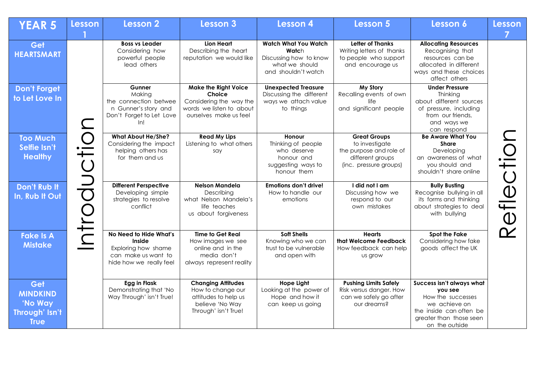| <b>YEAR 5</b>                                                      | <b>Lesson</b> | <b>Lesson 2</b>                                                                                             | <b>Lesson 3</b>                                                                                                        | <b>Lesson 4</b>                                                                                         | <b>Lesson 5</b>                                                                                                | Lesson 6                                                                                                                                           | <b>Lesson</b> |
|--------------------------------------------------------------------|---------------|-------------------------------------------------------------------------------------------------------------|------------------------------------------------------------------------------------------------------------------------|---------------------------------------------------------------------------------------------------------|----------------------------------------------------------------------------------------------------------------|----------------------------------------------------------------------------------------------------------------------------------------------------|---------------|
|                                                                    |               |                                                                                                             |                                                                                                                        |                                                                                                         |                                                                                                                |                                                                                                                                                    |               |
| Get<br><b>HEARTSMART</b>                                           |               | <b>Boss vs Leader</b><br>Considering how<br>powerful people<br>lead others                                  | Lion Heart<br>Describing the heart<br>reputation we would like                                                         | <b>Watch What You Watch</b><br>Watch<br>Discussing how to know<br>what we should<br>and shouldn't watch | <b>Letter of Thanks</b><br>Writing letters of thanks<br>to people who support<br>and encourage us              | <b>Allocating Resources</b><br>Recognising that<br>resources can be<br>allocated in different<br>ways and these choices<br>affect others           |               |
| <b>Don't Forget</b><br>to Let Love In                              |               | <b>Gunner</b><br>Making<br>the connection betwee<br>n Gunner's story and<br>Don't Forget to Let Love<br>In! | <b>Make the Right Voice</b><br>Choice<br>Considering the way the<br>words we listen to about<br>ourselves make us feel | <b>Unexpected Treasure</b><br>Discussing the different<br>ways we attach value<br>to things             | My Story<br>Recalling events of own<br>life<br>and significant people                                          | <b>Under Pressure</b><br>Thinking<br>about different sources<br>of pressure, including<br>from our friends.<br>and ways we<br>can respond          |               |
| <b>Too Much</b><br>Selfie Isn't<br><b>Healthy</b>                  | ductio        | <b>What About He/She?</b><br>Considering the impact<br>helping others has<br>for them and us                | <b>Read My Lips</b><br>Listening to what others<br>say                                                                 | <b>Honour</b><br>Thinking of people<br>who deserve<br>honour and<br>suggesting ways to<br>honour them   | <b>Great Groups</b><br>to investigate<br>the purpose and role of<br>different groups<br>(inc. pressure groups) | <b>Be Aware What You</b><br><b>Share</b><br>Developing<br>an awareness of what<br>you should and<br>shouldn't share online                         |               |
| Don't Rub It<br>In, Rub It Out                                     | <b>ntro</b>   | <b>Different Perspective</b><br>Developing simple<br>strategies to resolve<br>conflict                      | <b>Nelson Mandela</b><br>Describing<br>what Nelson Mandela's<br>life teaches<br>us about forgiveness                   | <b>Emotions don't drive!</b><br>How to handle our<br>emotions                                           | I did not I am<br>Discussing how we<br>respond to our<br>own mistakes                                          | <b>Bully Busting</b><br>Recognise bullying in all<br>its forms and thinking<br>about strategies to deal<br>with bullying                           | Reflection    |
| <b>Fake Is A</b><br><b>Mistake</b>                                 |               | No Need to Hide What's<br>Inside<br>Exploring how shame<br>can make us want to<br>hide how we really feel   | <b>Time to Get Real</b><br>How images we see<br>online and in the<br>media don't<br>always represent reality           | <b>Soft Shells</b><br>Knowing who we can<br>trust to be vulnerable<br>and open with                     | <b>Hearts</b><br>that Welcome Feedback<br>How feedback can help<br>us grow                                     | <b>Spot the Fake</b><br>Considering how fake<br>goods affect the UK                                                                                |               |
| Get<br><b>MINDKIND</b><br>'No Way<br>Through' Isn't<br><b>True</b> |               | Egg in Flask<br>Demonstrating that 'No<br>Way Through' isn't True!                                          | <b>Changing Attitudes</b><br>How to change our<br>attitudes to help us<br>believe 'No Way<br>Through' isn't True!      | <b>Hope Light</b><br>Looking at the power of<br>Hope and how it<br>can keep us going                    | <b>Pushing Limits Safely</b><br>Risk versus danger. How<br>can we safely go after<br>our dreams?               | Success isn't always what<br>you see<br>How the successes<br>we achieve on<br>the inside can often be<br>greater than those seen<br>on the outside |               |